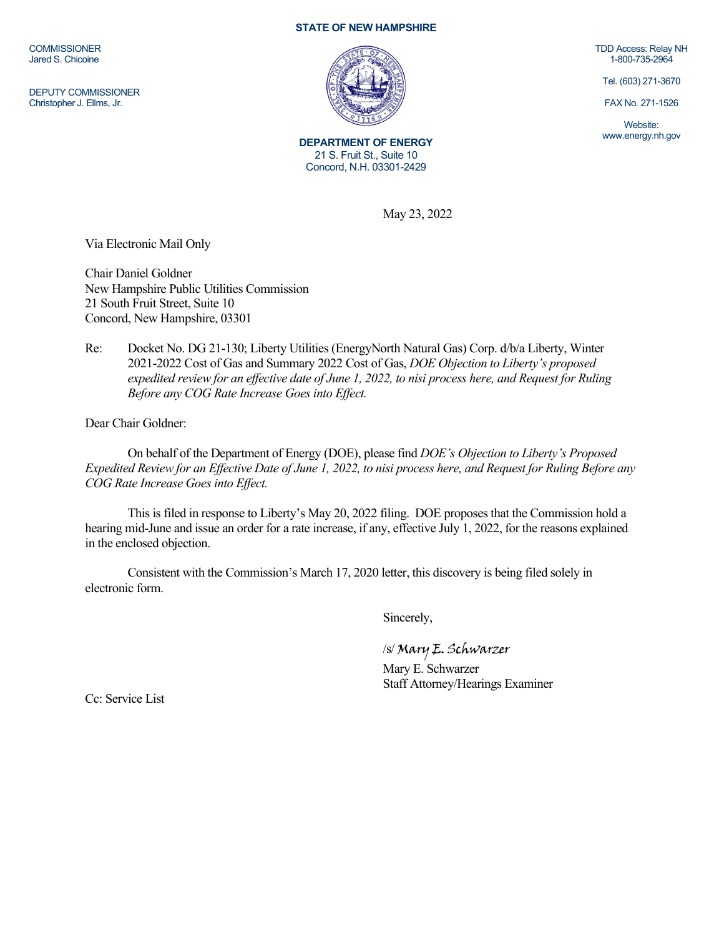**COMMISSIONER** Jared S. Chicoine

DEPUTY COMMISSIONER Christopher J. Ellms, Jr.

## **STATE OF NEW HAMPSHIRE**



**DEPARTMENT OF ENERGY** 21 S. Fruit St., Suite 10 Concord, N.H. 03301-2429

TDD Access: Relay NH 1-800-735-2964

Tel. (603) 271-3670

FAX No. 271-1526

Website: www.energy.nh.gov

May 23, 2022

Via Electronic Mail Only

Chair Daniel Goldner New Hampshire Public Utilities Commission 21 South Fruit Street, Suite 10 Concord, New Hampshire, 03301

Re: Docket No. DG 21-130; Liberty Utilities (EnergyNorth Natural Gas) Corp. d/b/a Liberty, Winter 2021-2022 Cost of Gas and Summary 2022 Cost of Gas, *DOE Objection to Liberty's proposed expedited review for an effective date of June 1, 2022, to nisi process here, and Request for Ruling Before any COG Rate Increase Goes into Effect.*

Dear Chair Goldner:

On behalf of the Department of Energy (DOE), please find *DOE's Objection to Liberty's Proposed Expedited Review for an Effective Date of June 1, 2022, to nisi process here, and Request for Ruling Before any COG Rate Increase Goes into Effect.*

This is filed in response to Liberty's May 20, 2022 filing. DOE proposes that the Commission hold a hearing mid-June and issue an order for a rate increase, if any, effective July 1, 2022, for the reasons explained in the enclosed objection.

Consistent with the Commission's March 17, 2020 letter, this discovery is being filed solely in electronic form.

Sincerely,

/s/ Mary E. Schwarzer

Mary E. Schwarzer Staff Attorney/Hearings Examiner

Cc: Service List